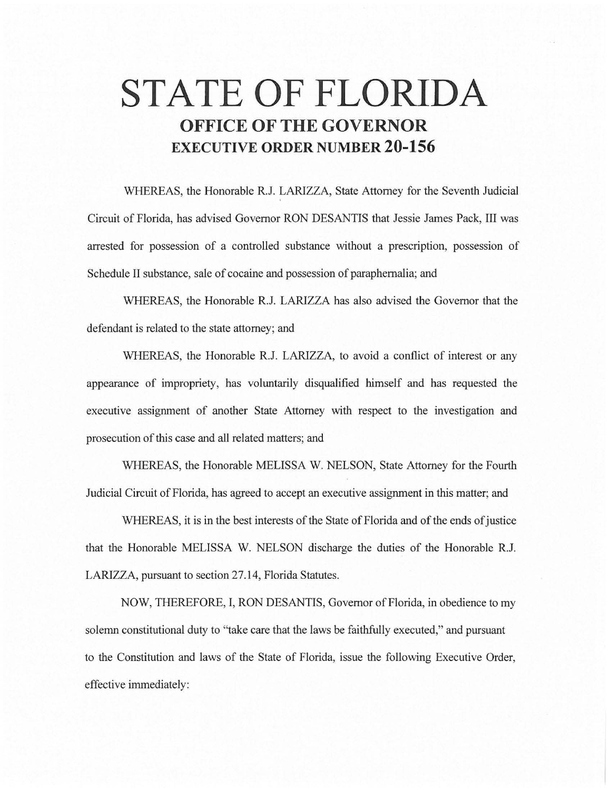# **STATE OF FLORIDA OFFICE OF THE GOVERNOR EXECUTIVE ORDER NUMBER 20-156**

WHEREAS, the Honorable R.J. LARIZZA, State Attorney for the Seventh Judicial Circuit of Florida, has advised Governor RON DESANTIS that Jessie James Pack, III was arrested for possession of a controlled substance without a prescription, possession of Schedule II substance, sale of cocaine and possession of paraphernalia; and

WHEREAS, the Honorable R.J. LARIZZA has also advised the Governor that the defendant is related to the state attorney; and

WHEREAS, the Honorable R.J. LARIZZA, to avoid a conflict of interest or any appearance of impropriety, has voluntarily disqualified himself and has requested the executive assignment of another State Attorney with respect to the investigation and prosecution of this case and all related matters; and

WHEREAS, the Honorable MELISSA W. NELSON, State Attorney for the Fourth Judicial Circuit of Florida, has agreed to accept an executive assignment in this matter; and

WHEREAS, it is in the best interests of the State of Florida and of the ends of justice that the Honorable MELISSA W. NELSON discharge the duties of the Honorable R.J. LARIZZA, pursuant to section 27.14, Florida Statutes.

NOW, THEREFORE, I, RON DESANTIS, Governor of Florida, in obedience to my solemn constitutional duty to "take care that the laws be faithfully executed," and pursuant to the Constitution and laws of the State of Florida, issue the following Executive Order, effective immediately: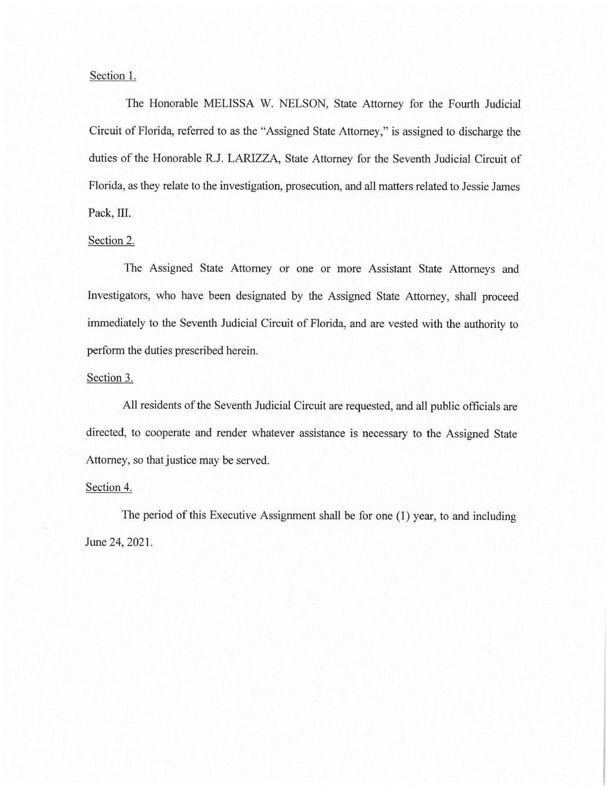## Section 1.

The Honorable MELISSA W. NELSON, State Attorney for the Fourth Judicial Circuit of Florida, referred to as the "Assigned State Attorney," is assigned to discharge the duties of the Honorable R.J. LARIZZA, State Attorney for the Seventh Judicial Circuit of Florida, as they relate to the investigation, prosecution, and all matters related to Jessie James Pack, III.

#### Section 2.

The Assigned State Attorney or one or more Assistant State Attorneys and Investigators, who have been designated by the Assigned State Attorney, shall proceed immediately to the Seventh Judicial Circuit of Florida, and are vested with the authority to perform the duties prescribed herein.

### Section 3.

All residents of the Seventh Judicial Circuit are requested, and all public officials are directed, to cooperate and render whatever assistance is necessary to the Assigned State Attorney, so that justice may be served.

#### Section 4.

The period of this Executive Assignment shall be for one (1) year, to and including June 24, 2021.